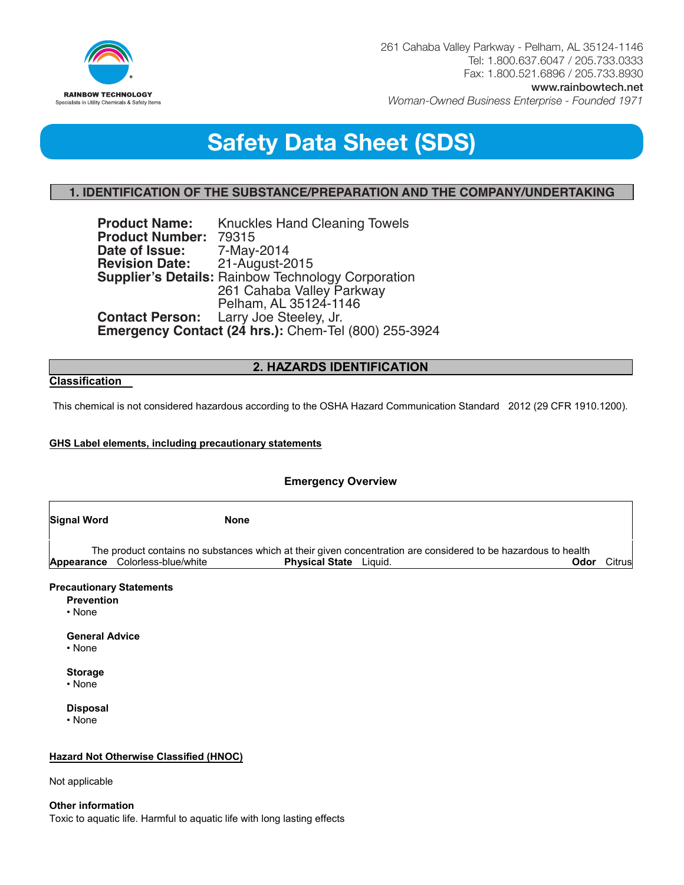

261 Cahaba Valley Parkway - Pelham, AL 35124-1146 Tel: 1.800.637.6047 / 205.733.0333 Fax: 1.800.521.6896 / 205.733.8930 www.rainbowtech.net

*Woman-Owned Business Enterprise - Founded 1971*

# **Recommended Use Safety Data Sheet (SDS)**

# **1. IDENTIFICATION OF THE SUBSTANCE/PREPARATION AND THE COMPANY/UNDERTAKING**

**Product Name:** Knuckles Hand Cleaning Towels **Product Number: 79315** Date of Issue: 7-May-2014 **Revision Date:** 21-August-2015 **Supplier's Details:** Rainbow Technology Corporation 261 Cahaba Valley Parkway Pelham, AL 35124-1146<br>Contact Person: Larry Joe Steeley, Jr. Larry Joe Steeley, Jr. **Emergency Contact (24 hrs.): Chem-Tel (800) 255-3924 Revision Date:** Supplier's

## **2. HAZARDS IDENTIFICATION**

## **Classification**

This chemical is not considered hazardous according to the OSHA Hazard Communication Standard 2012 (29 CFR 1910.1200).

## **GHS Label elements, including precautionary statements**

**Recommended use of the chemical and restrictions on use**

| <b>Emergency Overview</b>         |                                 |                                                                                                                                                         |        |  |  |
|-----------------------------------|---------------------------------|---------------------------------------------------------------------------------------------------------------------------------------------------------|--------|--|--|
| <b>Signal Word</b>                | <b>None</b>                     |                                                                                                                                                         |        |  |  |
|                                   | Appearance Colorless-blue/white | The product contains no substances which at their given concentration are considered to be hazardous to health<br><b>Physical State</b> Liquid.<br>Odor | Citrus |  |  |
| <b>Prevention</b><br>$\cdot$ None | <b>Precautionary Statements</b> |                                                                                                                                                         |        |  |  |

**General Advice**

• None

**Storage**

• None

**Disposal**

• None

## **Hazard Not Otherwise Classified (HNOC)**

Not applicable

**Other information**  Toxic to aquatic life. Harmful to aquatic life with long lasting effects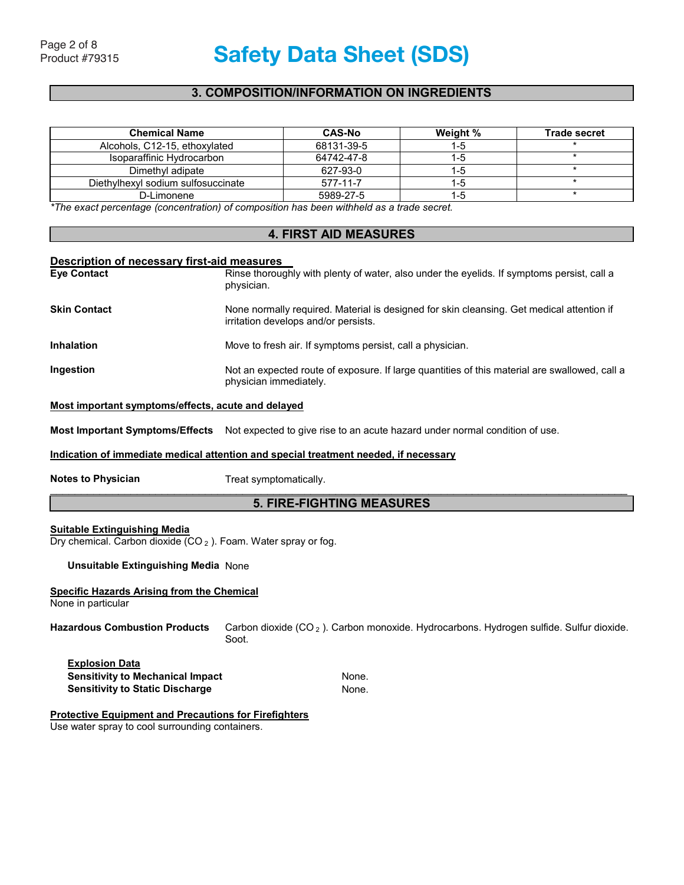## **3. COMPOSITION/INFORMATION ON INGREDIENTS**

| <b>Chemical Name</b>               | <b>CAS-No</b> | Weight % | Trade secret |
|------------------------------------|---------------|----------|--------------|
| Alcohols, C12-15, ethoxylated      | 68131-39-5    | 1-5      |              |
| Isoparaffinic Hydrocarbon          | 64742-47-8    | $1 - 5$  |              |
| Dimethyl adipate                   | 627-93-0      | 1-5      |              |
| Diethylhexyl sodium sulfosuccinate | 577-11-7      | 1-5      |              |
| D-Limonene                         | 5989-27-5     | $1 - 5$  |              |

*\*The exact percentage (concentration) of composition has been withheld as a trade secret.* 

## **4. FIRST AID MEASURES**

#### **Description of necessary first-aid measures**

| <b>Eve Contact</b>  | Rinse thoroughly with plenty of water, also under the eyelids. If symptoms persist, call a<br>physician.                          |
|---------------------|-----------------------------------------------------------------------------------------------------------------------------------|
| <b>Skin Contact</b> | None normally required. Material is designed for skin cleansing. Get medical attention if<br>irritation develops and/or persists. |
| <b>Inhalation</b>   | Move to fresh air. If symptoms persist, call a physician.                                                                         |
| Ingestion           | Not an expected route of exposure. If large quantities of this material are swallowed, call a<br>physician immediately.           |

## **Most important symptoms/effects, acute and delayed**

**Most Important Symptoms/Effects** Not expected to give rise to an acute hazard under normal condition of use.

## **Indication of immediate medical attention and special treatment needed, if necessary**

**Notes to Physician Motes in A-Bucket Review Revision Date Symptomatically.** 

 $\_$  . The contribution of the contribution of the contribution of the contribution of the contribution of the contribution of the contribution of the contribution of the contribution of the contribution of the contributio

#### $\mathcal{L}_\mathcal{L} = \mathcal{L}_\mathcal{L} = \mathcal{L}_\mathcal{L} = \mathcal{L}_\mathcal{L} = \mathcal{L}_\mathcal{L} = \mathcal{L}_\mathcal{L} = \mathcal{L}_\mathcal{L} = \mathcal{L}_\mathcal{L} = \mathcal{L}_\mathcal{L} = \mathcal{L}_\mathcal{L} = \mathcal{L}_\mathcal{L} = \mathcal{L}_\mathcal{L} = \mathcal{L}_\mathcal{L} = \mathcal{L}_\mathcal{L} = \mathcal{L}_\mathcal{L} = \mathcal{L}_\mathcal{L} = \mathcal{L}_\mathcal{L}$ **5. FIRE-FIGHTING MEASURES**

## **Suitable Extinguishing Media**

Dry chemical. Carbon dioxide  $(CO_2)$ . Foam. Water spray or fog.

#### **Unsuitable Extinguishing Media** None

### **Specific Hazards Arising from the Chemical**

None in particular

#### **Hazardous Combustion Products** Carbon dioxide (CO <sup>2</sup> ). Carbon monoxide. Hydrocarbons. Hydrogen sulfide. Sulfur dioxide. Soot.

**Explosion Data Sensitivity to Mechanical Impact <br>
None. Sensitivity to Static Discharge None.** 

#### **Protective Equipment and Precautions for Firefighters**

Use water spray to cool surrounding containers.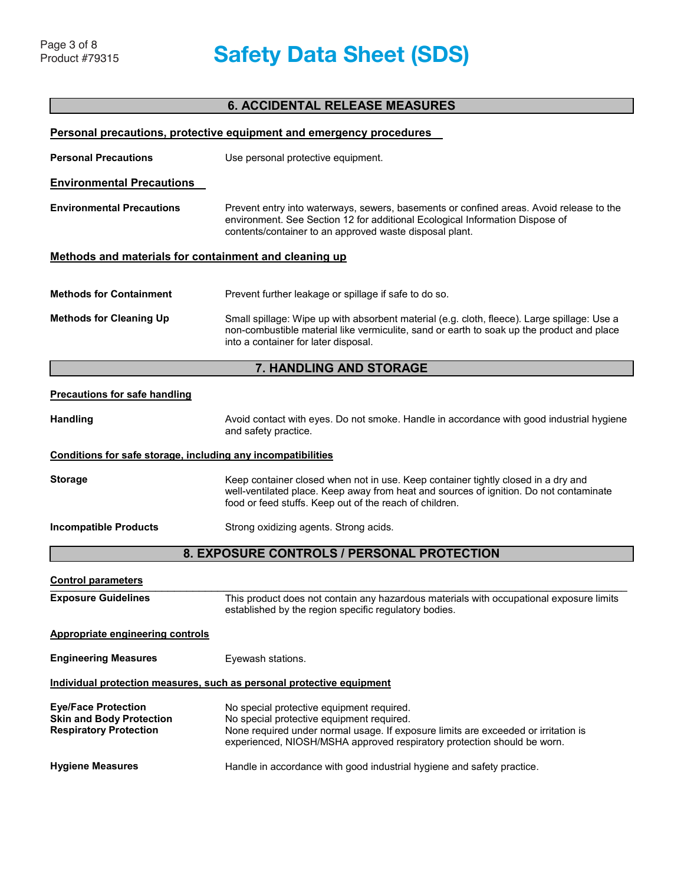# **6. ACCIDENTAL RELEASE MEASURES**

|                                                                                                                                                                                                                                                                                                                                                           | <b>Personal precautions, protective equipment and emergency procedures</b>                                                                                                                                                             |  |  |  |
|-----------------------------------------------------------------------------------------------------------------------------------------------------------------------------------------------------------------------------------------------------------------------------------------------------------------------------------------------------------|----------------------------------------------------------------------------------------------------------------------------------------------------------------------------------------------------------------------------------------|--|--|--|
| <b>Personal Precautions</b><br>Use personal protective equipment.                                                                                                                                                                                                                                                                                         |                                                                                                                                                                                                                                        |  |  |  |
| <b>Environmental Precautions</b>                                                                                                                                                                                                                                                                                                                          |                                                                                                                                                                                                                                        |  |  |  |
| <b>Environmental Precautions</b><br>Prevent entry into waterways, sewers, basements or confined areas. Avoid release to the<br>environment. See Section 12 for additional Ecological Information Dispose of<br>contents/container to an approved waste disposal plant.                                                                                    |                                                                                                                                                                                                                                        |  |  |  |
| Methods and materials for containment and cleaning up                                                                                                                                                                                                                                                                                                     |                                                                                                                                                                                                                                        |  |  |  |
| <b>Methods for Containment</b>                                                                                                                                                                                                                                                                                                                            | Prevent further leakage or spillage if safe to do so.                                                                                                                                                                                  |  |  |  |
| <b>Methods for Cleaning Up</b>                                                                                                                                                                                                                                                                                                                            | Small spillage: Wipe up with absorbent material (e.g. cloth, fleece). Large spillage: Use a<br>non-combustible material like vermiculite, sand or earth to soak up the product and place<br>into a container for later disposal.       |  |  |  |
|                                                                                                                                                                                                                                                                                                                                                           | 7. HANDLING AND STORAGE                                                                                                                                                                                                                |  |  |  |
| <b>Precautions for safe handling</b>                                                                                                                                                                                                                                                                                                                      |                                                                                                                                                                                                                                        |  |  |  |
| <b>Handling</b>                                                                                                                                                                                                                                                                                                                                           | Avoid contact with eyes. Do not smoke. Handle in accordance with good industrial hygiene<br>and safety practice.                                                                                                                       |  |  |  |
| Conditions for safe storage, including any incompatibilities                                                                                                                                                                                                                                                                                              |                                                                                                                                                                                                                                        |  |  |  |
| <b>Storage</b>                                                                                                                                                                                                                                                                                                                                            | Keep container closed when not in use. Keep container tightly closed in a dry and<br>well-ventilated place. Keep away from heat and sources of ignition. Do not contaminate<br>food or feed stuffs. Keep out of the reach of children. |  |  |  |
| <b>Incompatible Products</b>                                                                                                                                                                                                                                                                                                                              | Strong oxidizing agents. Strong acids.                                                                                                                                                                                                 |  |  |  |
|                                                                                                                                                                                                                                                                                                                                                           | 8. EXPOSURE CONTROLS / PERSONAL PROTECTION                                                                                                                                                                                             |  |  |  |
| <b>Control parameters</b>                                                                                                                                                                                                                                                                                                                                 |                                                                                                                                                                                                                                        |  |  |  |
| <b>Exposure Guidelines</b>                                                                                                                                                                                                                                                                                                                                | This product does not contain any hazardous materials with occupational exposure limits<br>established by the region specific regulatory bodies.                                                                                       |  |  |  |
| <b>Appropriate engineering controls</b>                                                                                                                                                                                                                                                                                                                   |                                                                                                                                                                                                                                        |  |  |  |
| <b>Engineering Measures</b><br>Eyewash stations.                                                                                                                                                                                                                                                                                                          |                                                                                                                                                                                                                                        |  |  |  |
|                                                                                                                                                                                                                                                                                                                                                           | Individual protection measures, such as personal protective equipment                                                                                                                                                                  |  |  |  |
| <b>Eye/Face Protection</b><br>No special protective equipment required.<br><b>Skin and Body Protection</b><br>No special protective equipment required.<br><b>Respiratory Protection</b><br>None required under normal usage. If exposure limits are exceeded or irritation is<br>experienced, NIOSH/MSHA approved respiratory protection should be worn. |                                                                                                                                                                                                                                        |  |  |  |
| <b>Hygiene Measures</b>                                                                                                                                                                                                                                                                                                                                   | Handle in accordance with good industrial hygiene and safety practice.                                                                                                                                                                 |  |  |  |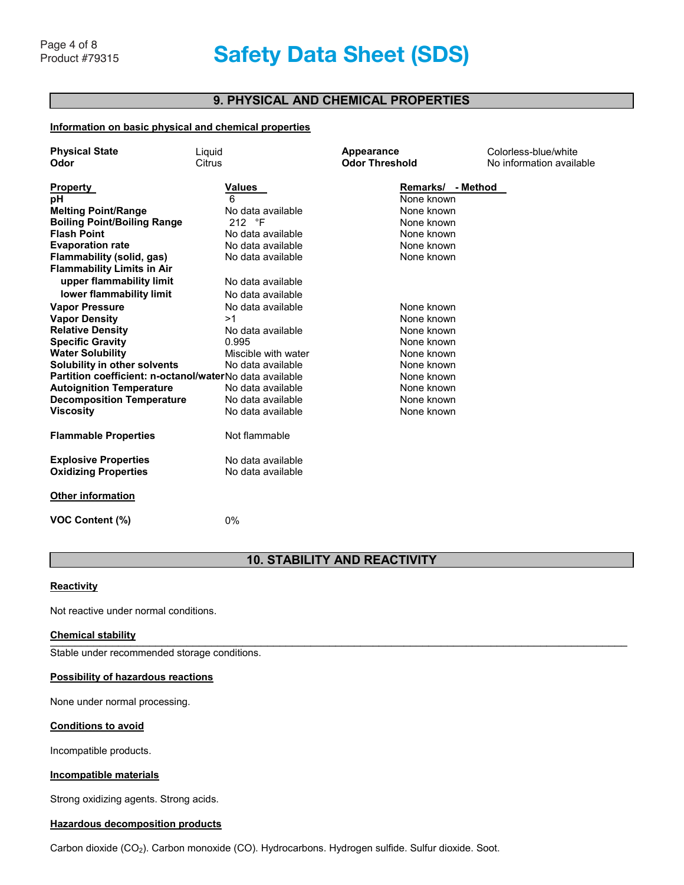# Page 4 of 8<br>Product #79315 **Safety Data Sheet (SDS) Respiratory Protection** None required under normal usage. If exposure limits are exceeded or irritation is

# **9. PHYSICAL AND CHEMICAL PROPERTIES**

## **Information on basic physical and chemical properties**

| <b>Physical State</b>                                   | Liquid              | Appearance            | Colorless-blue/white     |
|---------------------------------------------------------|---------------------|-----------------------|--------------------------|
| Odor                                                    | Citrus              | <b>Odor Threshold</b> | No information available |
|                                                         |                     |                       |                          |
| <b>Property</b>                                         | Values              | Remarks/ - Method     |                          |
| рH                                                      | 6                   | None known            |                          |
| <b>Melting Point/Range</b>                              | No data available   | None known            |                          |
| <b>Boiling Point/Boiling Range</b>                      | 212 °F              | None known            |                          |
| <b>Flash Point</b>                                      | No data available   | None known            |                          |
| <b>Evaporation rate</b>                                 | No data available   | None known            |                          |
| Flammability (solid, gas)                               | No data available   | None known            |                          |
| <b>Flammability Limits in Air</b>                       |                     |                       |                          |
| upper flammability limit                                | No data available   |                       |                          |
| lower flammability limit                                | No data available   |                       |                          |
| <b>Vapor Pressure</b>                                   | No data available   | None known            |                          |
| <b>Vapor Density</b>                                    | >1                  | None known            |                          |
| <b>Relative Density</b>                                 | No data available   | None known            |                          |
| <b>Specific Gravity</b>                                 | 0.995               | None known            |                          |
| <b>Water Solubility</b>                                 | Miscible with water | None known            |                          |
| Solubility in other solvents                            | No data available   | None known            |                          |
| Partition coefficient: n-octanol/waterNo data available |                     | None known            |                          |
| <b>Autoignition Temperature</b>                         | No data available   | None known            |                          |
| <b>Decomposition Temperature</b>                        | No data available   | None known            |                          |
| <b>Viscosity</b>                                        | No data available   | None known            |                          |
|                                                         |                     |                       |                          |
| <b>Flammable Properties</b>                             | Not flammable       |                       |                          |
| <b>Explosive Properties</b>                             | No data available   |                       |                          |
| <b>Oxidizing Properties</b>                             | No data available   |                       |                          |
| <b>Other information</b>                                |                     |                       |                          |
| <b>VOC Content (%)</b>                                  | 0%                  |                       |                          |

# **10. STABILITY AND REACTIVITY**

## **Reactivity**

Not reactive under normal conditions.

#### **Chemical stability WPS-ITM-002 2 - SCRUBS® In-A-Bucket Revision Date and A-Bucket Revision Date 2013**  $\blacksquare$

 $\mathcal{L}_{\text{max}}$  and  $\mathcal{L}_{\text{max}}$  . Submitted and algorithmicity, Stable under recommended storage conditions.

#### **Possibility of hazardous reactions**

None under normal processing.

#### **Conditions to avoid**

Incompatible products.

## **Incompatible materials**

Strong oxidizing agents. Strong acids.

## **Hazardous decomposition products**

Carbon dioxide (CO2). Carbon monoxide (CO). Hydrocarbons. Hydrogen sulfide. Sulfur dioxide. Soot.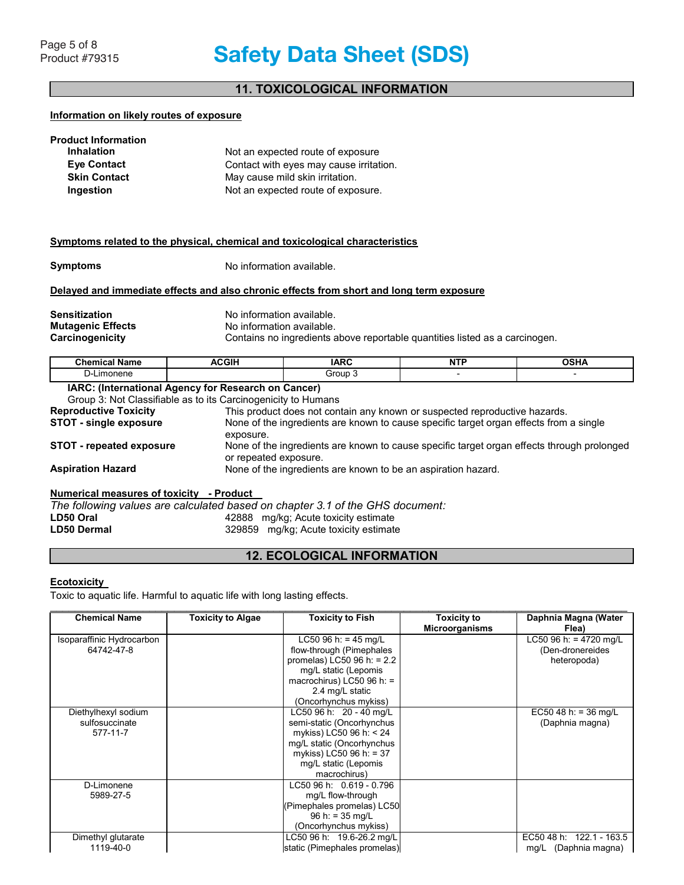# **11. TOXICOLOGICAL INFORMATION**

#### **Information on likely routes of exposure**

| <b>Product Information</b> |                                         |
|----------------------------|-----------------------------------------|
| <b>Inhalation</b>          | Not an expected route of exposure       |
| <b>Eve Contact</b>         | Contact with eyes may cause irritation. |
| <b>Skin Contact</b>        | May cause mild skin irritation.         |
| Ingestion                  | Not an expected route of exposure.      |

#### **Symptoms related to the physical, chemical and toxicological characteristics**

**Symptoms** No information available.

## **Delayed and immediate effects and also chronic effects from short and long term exposure**

**Sensitization No information available. Mutagenic Effects**<br> **Carcinogenicity**<br>
Contains no ingredients a Contains no ingredients above reportable quantities listed as a carcinogen.

| <b>Chemical Name</b>                                      | <b>ACGIH</b> | <b>IARC</b> | .<br>. | י ⊔י∩<br>UJNA |
|-----------------------------------------------------------|--------------|-------------|--------|---------------|
| -<br>าonene<br>-ım<br>'−ل                                 |              | Group       |        |               |
| IADA.<br>(International America: for Deceanoly on Concent |              |             |        |               |

**IARC: (International Agency for Research on Cancer)** Group 3: Not Classifiable as to its Carcinogenicity to Humans **Reproductive Toxicity** This product does not contain any known or suspected reproductive hazards.<br>**STOT - single exposure** None of the ingredients are known to cause specific target organ effects from None of the ingredients are known to cause specific target organ effects from a single exposure. **STOT - repeated exposure** None of the ingredients are known to cause specific target organ effects through prolonged or repeated exposure. **Aspiration Hazard** None of the ingredients are known to be an aspiration hazard.

## **Numerical measures of toxicity - Product**

*The following values are calculated based on chapter 3.1 of the GHS document:*  **LD50 Oral** 42888 mg/kg; Acute toxicity estimate 329859 mg/kg; Acute toxicity estimate

## **12. ECOLOGICAL INFORMATION**

## **Ecotoxicity**

Toxic to aquatic life. Harmful to aquatic life with long lasting effects.

| <b>Chemical Name</b>      | <b>Toxicity to Algae</b> | <b>Toxicity to Fish</b>      | <b>Toxicity to</b>    | Daphnia Magna (Water     |
|---------------------------|--------------------------|------------------------------|-----------------------|--------------------------|
|                           |                          |                              | <b>Microorganisms</b> | Flea)                    |
| Isoparaffinic Hydrocarbon |                          | LC50 96 h: = 45 mg/L         |                       | LC50 96 h: = 4720 mg/L   |
| 64742-47-8                |                          | flow-through (Pimephales     |                       | (Den-dronereides         |
|                           |                          | promelas) LC50 96 h: $= 2.2$ |                       | heteropoda)              |
|                           |                          | mg/L static (Lepomis         |                       |                          |
|                           |                          | macrochirus) LC50 96 h: $=$  |                       |                          |
|                           |                          | 2.4 mg/L static              |                       |                          |
|                           |                          | (Oncorhynchus mykiss)        |                       |                          |
| Diethylhexyl sodium       |                          | LC50 96 h: 20 - 40 mg/L      |                       | EC50 48 h: = 36 mg/L     |
| sulfosuccinate            |                          | semi-static (Oncorhynchus    |                       | (Daphnia magna)          |
| 577-11-7                  |                          | mykiss) LC50 96 h: < 24      |                       |                          |
|                           |                          | mg/L static (Oncorhynchus    |                       |                          |
|                           |                          | mykiss) LC50 96 h: = 37      |                       |                          |
|                           |                          | mg/L static (Lepomis         |                       |                          |
|                           |                          | macrochirus)                 |                       |                          |
| D-Limonene                |                          | LC50 96 h: 0.619 - 0.796     |                       |                          |
| 5989-27-5                 |                          | mg/L flow-through            |                       |                          |
|                           |                          | (Pimephales promelas) LC50   |                       |                          |
|                           |                          | $96 h: = 35 mg/L$            |                       |                          |
|                           |                          | (Oncorhynchus mykiss)        |                       |                          |
| Dimethyl glutarate        |                          | LC50 96 h: 19.6-26.2 mg/L    |                       | EC50 48 h: 122.1 - 163.5 |
| 1119-40-0                 |                          | static (Pimephales promelas) |                       | mg/L (Daphnia magna)     |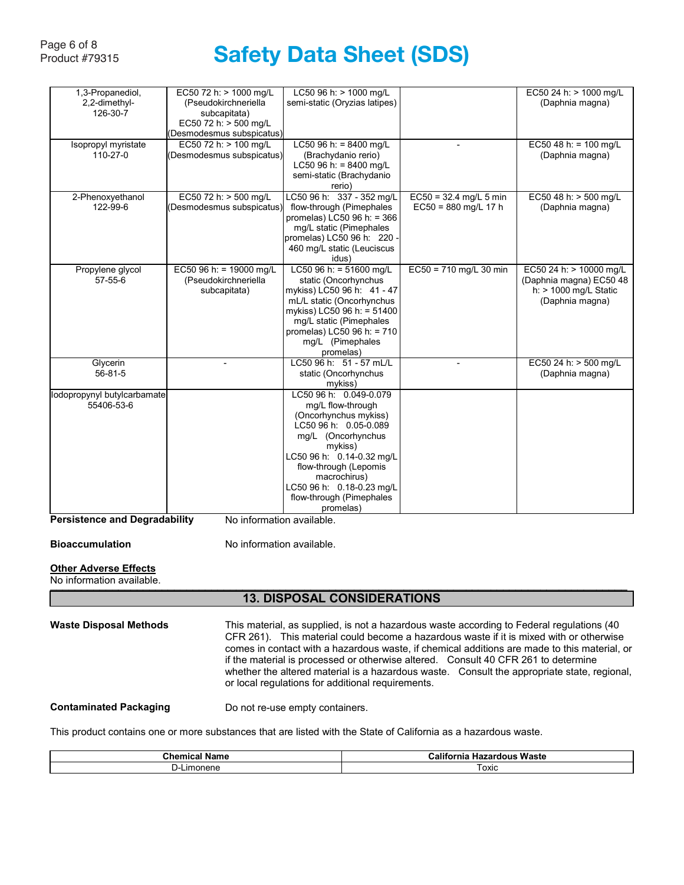#### Page 6 of 8<br>Product #79315 **Safety Data Sheet (SDS)** ,+n Ch, Jala Sil<del>c</del>t

| 1,3-Propanediol,            | EC50 72 h: > 1000 mg/L    | LC50 96 h: > 1000 mg/L        |                          | EC50 24 h: > 1000 mg/L   |
|-----------------------------|---------------------------|-------------------------------|--------------------------|--------------------------|
| 2,2-dimethyl-               | (Pseudokirchneriella      | semi-static (Oryzias latipes) |                          | (Daphnia magna)          |
| 126-30-7                    | subcapitata)              |                               |                          |                          |
|                             | EC50 72 h: > 500 mg/L     |                               |                          |                          |
|                             | (Desmodesmus subspicatus) |                               |                          |                          |
| Isopropyl myristate         | EC50 72 h: > 100 mg/L     | LC50 96 h: = $8400$ mg/L      | $\blacksquare$           | EC50 48 h: = $100$ mg/L  |
| 110-27-0                    | (Desmodesmus subspicatus) | (Brachydanio rerio)           |                          | (Daphnia magna)          |
|                             |                           | LC50 96 h: = $8400$ mg/L      |                          |                          |
|                             |                           | semi-static (Brachydanio      |                          |                          |
|                             |                           | rerio)                        |                          |                          |
| 2-Phenoxyethanol            | EC50 72 h: > 500 mg/L     | LC50 96 h: 337 - 352 mg/L     | $EC50 = 32.4$ mg/L 5 min | EC50 48 h: > 500 mg/L    |
| 122-99-6                    | (Desmodesmus subspicatus) | flow-through (Pimephales      | $EC50 = 880$ mg/L 17 h   | (Daphnia magna)          |
|                             |                           | promelas) LC50 96 h: = 366    |                          |                          |
|                             |                           | mg/L static (Pimephales       |                          |                          |
|                             |                           | promelas) LC50 96 h: 220 -    |                          |                          |
|                             |                           | 460 mg/L static (Leuciscus    |                          |                          |
|                             |                           |                               |                          |                          |
|                             |                           | idus)                         |                          |                          |
| Propylene glycol            | EC50 96 h: = 19000 mg/L   | LC50 96 h: = $51600$ mg/L     | $EC50 = 710$ mg/L 30 min | EC50 24 h: > 10000 mg/L  |
| 57-55-6                     | (Pseudokirchneriella      | static (Oncorhynchus          |                          | (Daphnia magna) EC50 48  |
|                             | subcapitata)              | mykiss) LC50 96 h: 41 - 47    |                          | $h$ : > 1000 mg/L Static |
|                             |                           | mL/L static (Oncorhynchus     |                          | (Daphnia magna)          |
|                             |                           | mykiss) LC50 96 h: = 51400    |                          |                          |
|                             |                           | mg/L static (Pimephales       |                          |                          |
|                             |                           | promelas) LC50 96 h: = 710    |                          |                          |
|                             |                           | mg/L (Pimephales              |                          |                          |
|                             |                           | promelas)                     |                          |                          |
| Glycerin                    |                           | LC50 96 h: 51 - 57 mL/L       |                          | EC50 24 h: > 500 mg/L    |
| $56 - 81 - 5$               |                           | static (Oncorhynchus          |                          | (Daphnia magna)          |
|                             |                           | mykiss)                       |                          |                          |
| lodopropynyl butylcarbamate |                           | LC50 96 h: 0.049-0.079        |                          |                          |
| 55406-53-6                  |                           | mg/L flow-through             |                          |                          |
|                             |                           | (Oncorhynchus mykiss)         |                          |                          |
|                             |                           | LC50 96 h: 0.05-0.089         |                          |                          |
|                             |                           | mg/L (Oncorhynchus            |                          |                          |
|                             |                           | mykiss)                       |                          |                          |
|                             |                           | LC50 96 h: 0.14-0.32 mg/L     |                          |                          |
|                             |                           | flow-through (Lepomis         |                          |                          |
|                             |                           | macrochirus)                  |                          |                          |
|                             |                           | LC50 96 h: 0.18-0.23 mg/L     |                          |                          |
|                             |                           | flow-through (Pimephales      |                          |                          |
|                             |                           |                               |                          |                          |
|                             |                           | promelas)                     |                          |                          |

**Persistence and Degradability** No information available.

**Bioaccumulation No information available.** 

# **Other Adverse Effects**<br>When Adverse Effects

No information available.  $\sim$  normation available.

## \_\_\_\_\_\_\_\_\_\_\_\_\_\_\_\_\_\_\_\_\_\_\_\_\_\_\_\_\_\_\_\_\_\_\_\_\_\_\_\_\_\_\_\_\_\_\_\_\_\_\_\_\_\_\_\_\_\_\_\_\_\_\_\_\_\_\_\_\_\_\_\_\_\_\_\_\_\_\_\_\_\_\_\_\_\_\_\_\_\_\_\_\_ **13. DISPOSAL CONSIDERATIONS**

| <b>Waste Disposal Methods</b> | This material, as supplied, is not a hazardous waste according to Federal regulations (40<br>CFR 261). This material could become a hazardous waste if it is mixed with or otherwise<br>comes in contact with a hazardous waste, if chemical additions are made to this material, or<br>if the material is processed or otherwise altered. Consult 40 CFR 261 to determine<br>whether the altered material is a hazardous waste. Consult the appropriate state, regional,<br>or local regulations for additional requirements. |
|-------------------------------|--------------------------------------------------------------------------------------------------------------------------------------------------------------------------------------------------------------------------------------------------------------------------------------------------------------------------------------------------------------------------------------------------------------------------------------------------------------------------------------------------------------------------------|
| <b>Contaminated Packaging</b> | Do not re-use empty containers.                                                                                                                                                                                                                                                                                                                                                                                                                                                                                                |

This product contains one or more substances that are listed with the State of California as a hazardous waste.

| Name<br>зниса<br>ᄖ | - -<br><br>Waste<br>Calitor<br>aon.<br>ш<br>⊓a∠aı |
|--------------------|---------------------------------------------------|
| onene<br>.ımc<br>  | <b>LOXIC</b>                                      |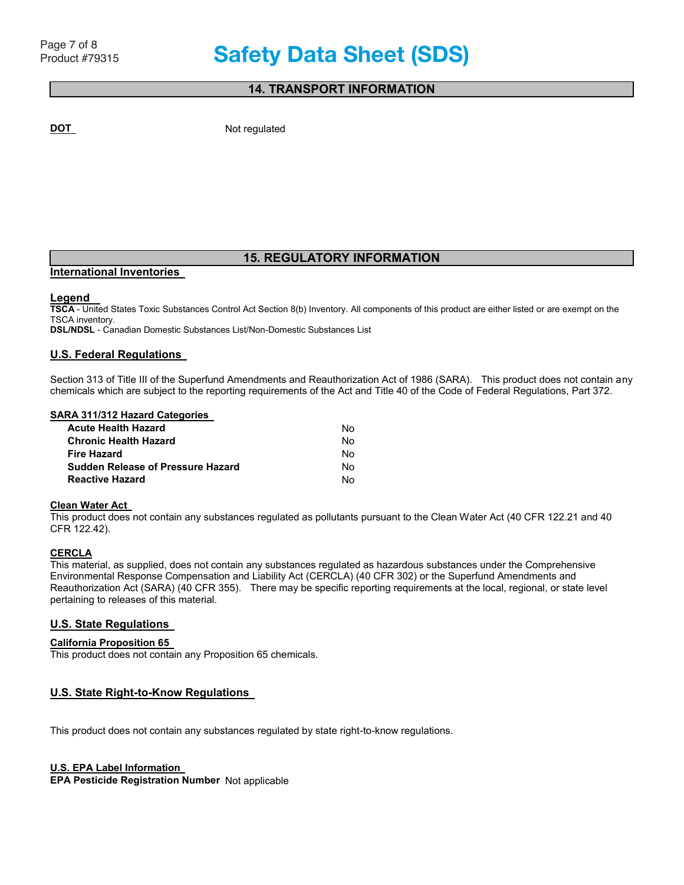## **14. TRANSPORT INFORMATION**

**DOT** Not regulated

# **15. REGULATORY INFORMATION**

# **International Inventories**

## **Legend**

**TSCA** - United States Toxic Substances Control Act Section 8(b) Inventory. All components of this product are either listed or are exempt on the TSCA inventory.

**DSL/NDSL** - Canadian Domestic Substances List/Non-Domestic Substances List

## **U.S. Federal Regulations**

Section 313 of Title III of the Superfund Amendments and Reauthorization Act of 1986 (SARA). This product does not contain any chemicals which are subject to the reporting requirements of the Act and Title 40 of the Code of Federal Regulations, Part 372.

## **SARA 311/312 Hazard Categories**

| <b>Acute Health Hazard</b>               | No. |
|------------------------------------------|-----|
| <b>Chronic Health Hazard</b>             | No. |
| <b>Fire Hazard</b>                       | No. |
| <b>Sudden Release of Pressure Hazard</b> | No. |
| <b>Reactive Hazard</b>                   | N٥. |

## **Clean Water Act**

This product does not contain any substances regulated as pollutants pursuant to the Clean Water Act (40 CFR 122.21 and 40 CFR 122.42).

## **CERCLA**

This material, as supplied, does not contain any substances regulated as hazardous substances under the Comprehensive Environmental Response Compensation and Liability Act (CERCLA) (40 CFR 302) or the Superfund Amendments and Reauthorization Act (SARA) (40 CFR 355). There may be specific reporting requirements at the local, regional, or state level pertaining to releases of this material. **Portal ing to releases of this material.** 

#### **U.S. State Regulations**   $\blacksquare$  . State Bequisitions

## \_\_\_\_\_\_\_\_\_\_\_\_\_\_\_\_\_\_\_\_\_\_\_\_\_\_\_\_\_\_\_\_\_\_\_\_\_\_\_\_\_\_\_\_\_\_\_\_\_\_\_\_\_\_\_\_\_\_\_\_\_\_\_\_\_\_\_\_\_\_\_\_\_\_\_\_\_\_\_\_\_\_\_\_\_\_\_\_\_\_\_\_\_ **California Proposition 65**

**Page 7 / 8**  This product does not contain any Proposition 65 chemicals.

## **U.S. State Right-to-Know Regulations**

This product does not contain any substances regulated by state right-to-know regulations.

## **U.S. EPA Label Information**

**EPA Pesticide Registration Number** Not applicable